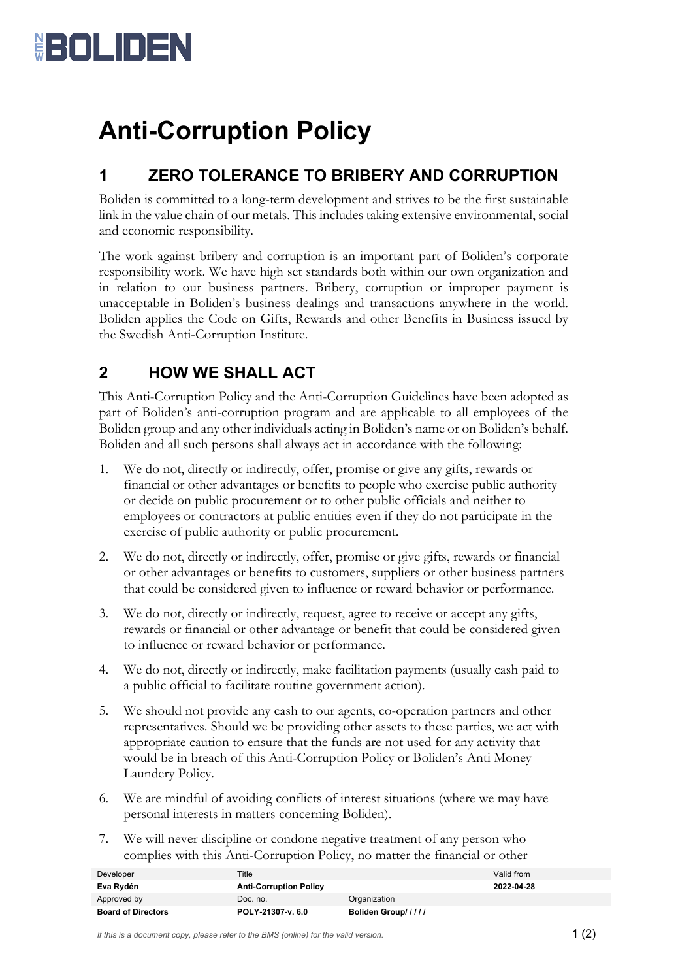

## **Anti-Corruption Policy**

## **1 ZERO TOLERANCE TO BRIBERY AND CORRUPTION**

Boliden is committed to a long-term development and strives to be the first sustainable link in the value chain of our metals. This includes taking extensive environmental, social and economic responsibility.

The work against bribery and corruption is an important part of Boliden's corporate responsibility work. We have high set standards both within our own organization and in relation to our business partners. Bribery, corruption or improper payment is unacceptable in Boliden's business dealings and transactions anywhere in the world. Boliden applies the Code on Gifts, Rewards and other Benefits in Business issued by the Swedish Anti-Corruption Institute.

## **2 HOW WE SHALL ACT**

This Anti-Corruption Policy and the Anti-Corruption Guidelines have been adopted as part of Boliden's anti-corruption program and are applicable to all employees of the Boliden group and any other individuals acting in Boliden's name or on Boliden's behalf. Boliden and all such persons shall always act in accordance with the following:

- 1. We do not, directly or indirectly, offer, promise or give any gifts, rewards or financial or other advantages or benefits to people who exercise public authority or decide on public procurement or to other public officials and neither to employees or contractors at public entities even if they do not participate in the exercise of public authority or public procurement.
- 2. We do not, directly or indirectly, offer, promise or give gifts, rewards or financial or other advantages or benefits to customers, suppliers or other business partners that could be considered given to influence or reward behavior or performance.
- 3. We do not, directly or indirectly, request, agree to receive or accept any gifts, rewards or financial or other advantage or benefit that could be considered given to influence or reward behavior or performance.
- 4. We do not, directly or indirectly, make facilitation payments (usually cash paid to a public official to facilitate routine government action).
- 5. We should not provide any cash to our agents, co-operation partners and other representatives. Should we be providing other assets to these parties, we act with appropriate caution to ensure that the funds are not used for any activity that would be in breach of this Anti-Corruption Policy or Boliden's Anti Money Laundery Policy.
- 6. We are mindful of avoiding conflicts of interest situations (where we may have personal interests in matters concerning Boliden).
- 7. We will never discipline or condone negative treatment of any person who complies with this Anti-Corruption Policy, no matter the financial or other

| <b>Board of Directors</b> | POLY-21307-v. 6.0             | Boliden Group///// |            |
|---------------------------|-------------------------------|--------------------|------------|
| Approved by               | Doc. no.                      | Organization       |            |
| Eva Rydén                 | <b>Anti-Corruption Policy</b> |                    | 2022-04-28 |
| Developer                 | Title                         |                    | Valid from |

*If this is a document copy, please refer to the BMS (online) for the valid version.*  $1 \n(2)$